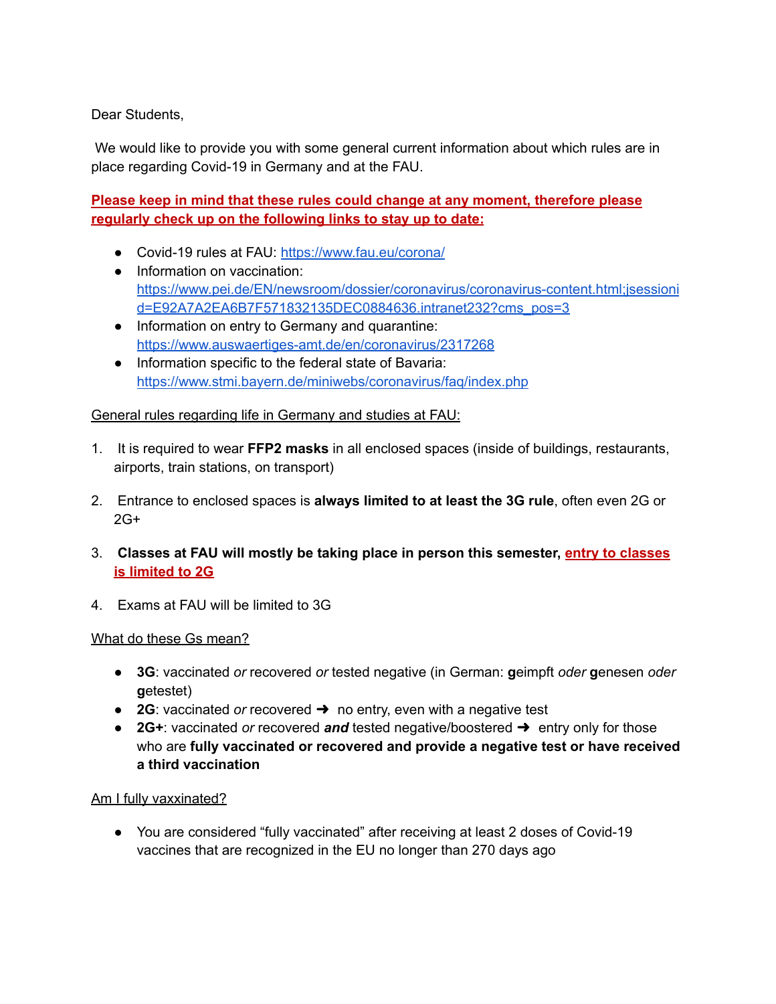Dear Students,

We would like to provide you with some general current information about which rules are in place regarding Covid-19 in Germany and at the FAU.

# **Please keep in mind that these rules could change at any moment, therefore please regularly check up on the following links to stay up to date:**

- Covid-19 rules at FAU: <https://www.fau.eu/corona/>
- Information on vaccination[:](https://www.pei.de/EN/newsroom/dossier/coronavirus/coronavirus-content.html;jsessionid=E92A7A2EA6B7F571832135DEC0884636.intranet232?cms_pos=3) [https://www.pei.de/EN/newsroom/dossier/coronavirus/coronavirus-content.html;jsessioni](https://www.pei.de/EN/newsroom/dossier/coronavirus/coronavirus-content.html;jsessionid=E92A7A2EA6B7F571832135DEC0884636.intranet232?cms_pos=3) [d=E92A7A2EA6B7F571832135DEC0884636.intranet232?cms\\_pos=3](https://www.pei.de/EN/newsroom/dossier/coronavirus/coronavirus-content.html;jsessionid=E92A7A2EA6B7F571832135DEC0884636.intranet232?cms_pos=3)
- Information on entry to Germany and quarantine: <https://www.auswaertiges-amt.de/en/coronavirus/2317268>
- Information specific to the federal state of Bavaria[:](https://www.stmi.bayern.de/miniwebs/coronavirus/faq/index.php) <https://www.stmi.bayern.de/miniwebs/coronavirus/faq/index.php>

## General rules regarding life in Germany and studies at FAU:

- 1. It is required to wear **FFP2 masks** in all enclosed spaces (inside of buildings, restaurants, airports, train stations, on transport)
- 2. Entrance to enclosed spaces is **always limited to at least the 3G rule**, often even 2G or  $2G+$
- 3. **Classes at FAU will mostly be taking place in person this semester, entry to classes is limited to 2G**
- 4. Exams at FAU will be limited to 3G

## What do these Gs mean?

- **3G**: vaccinated *or* recovered *or* tested negative (in German: **g**eimpft *oder* **g**enesen *oder* **g**etestet)
- **2G**: vaccinated *or* recovered ➜ no entry, even with a negative test
- **2G+**: vaccinated *or* recovered *and* tested negative/boostered ➜ entry only for those who are **fully vaccinated or recovered and provide a negative test or have received a third vaccination**

## Am I fully vaxxinated?

● You are considered "fully vaccinated" after receiving at least 2 doses of Covid-19 vaccines that are recognized in the EU no longer than 270 days ago